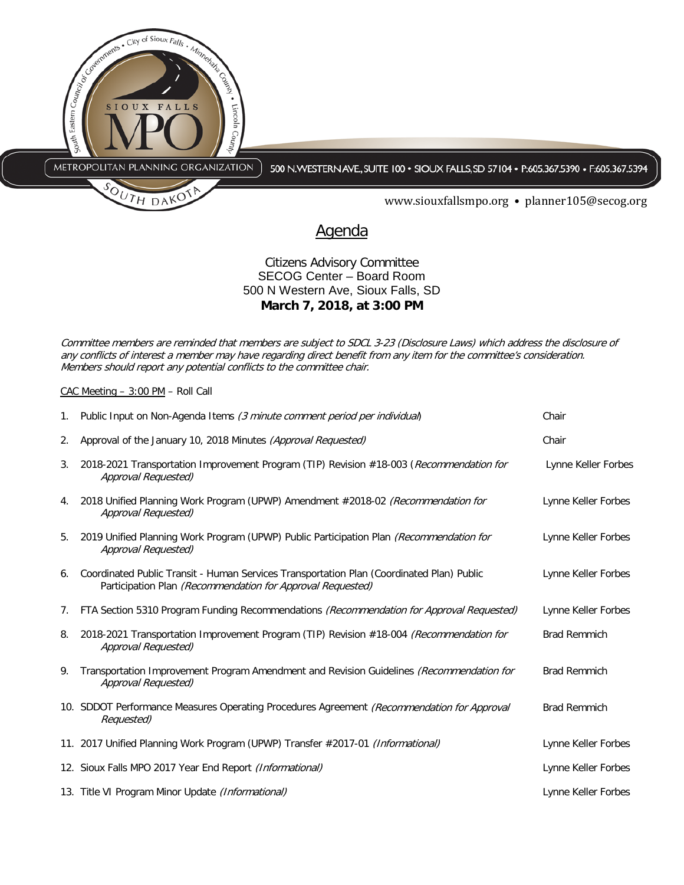

## Citizens Advisory Committee SECOG Center – Board Room 500 N Western Ave, Sioux Falls, SD **March 7, 2018, at 3:00 PM**

Committee members are reminded that members are subject to SDCL 3-23 (Disclosure Laws) which address the disclosure of any conflicts of interest a member may have regarding direct benefit from any item for the committee's consideration. Members should report any potential conflicts to the committee chair.

CAC Meeting – 3:00 PM – Roll Call

| 1. | Public Input on Non-Agenda Items (3 minute comment period per individual)                                                                               | Chair               |
|----|---------------------------------------------------------------------------------------------------------------------------------------------------------|---------------------|
| 2. | Approval of the January 10, 2018 Minutes (Approval Requested)                                                                                           | Chair               |
| 3. | 2018-2021 Transportation Improvement Program (TIP) Revision #18-003 (Recommendation for<br>Approval Requested)                                          | Lynne Keller Forbes |
| 4. | 2018 Unified Planning Work Program (UPWP) Amendment #2018-02 (Recommendation for<br>Approval Requested)                                                 | Lynne Keller Forbes |
| 5. | 2019 Unified Planning Work Program (UPWP) Public Participation Plan (Recommendation for<br>Approval Requested)                                          | Lynne Keller Forbes |
| 6. | Coordinated Public Transit - Human Services Transportation Plan (Coordinated Plan) Public<br>Participation Plan (Recommendation for Approval Requested) | Lynne Keller Forbes |
| 7. | FTA Section 5310 Program Funding Recommendations (Recommendation for Approval Requested)                                                                | Lynne Keller Forbes |
| 8. | 2018-2021 Transportation Improvement Program (TIP) Revision #18-004 (Recommendation for<br>Approval Requested)                                          | <b>Brad Remmich</b> |
| 9. | Transportation Improvement Program Amendment and Revision Guidelines (Recommendation for<br>Approval Requested)                                         | <b>Brad Remmich</b> |
|    | 10. SDDOT Performance Measures Operating Procedures Agreement (Recommendation for Approval<br>Requested)                                                | <b>Brad Remmich</b> |
|    | 11. 2017 Unified Planning Work Program (UPWP) Transfer #2017-01 (Informational)                                                                         | Lynne Keller Forbes |
|    | 12. Sioux Falls MPO 2017 Year End Report <i>(Informational)</i>                                                                                         | Lynne Keller Forbes |
|    | 13. Title VI Program Minor Update <i>(Informational)</i>                                                                                                | Lynne Keller Forbes |